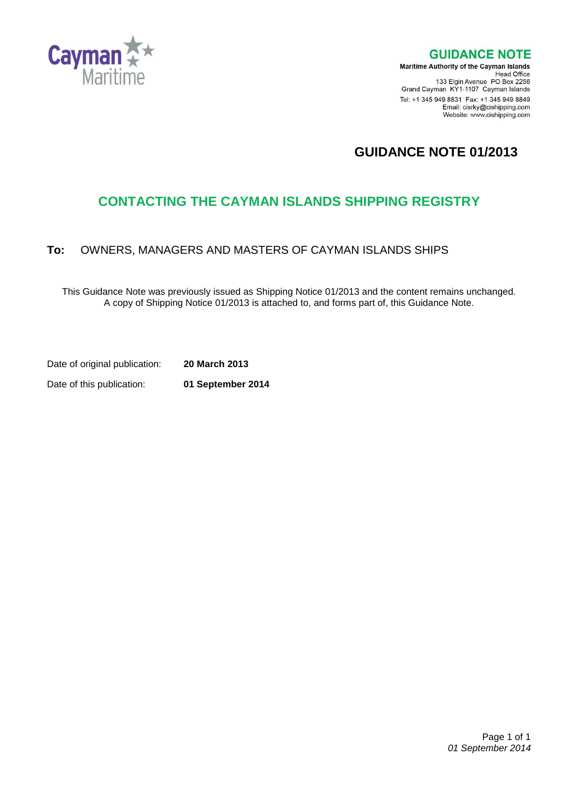

**GUIDANCE NOTE** 

**Maritime Authority of the Cayman Islands** Head Office<br>Head Office<br>133 Elgin Avenue PO Box 2256 Grand Cayman KY1-1107 Cayman Islands Tel: +1 345 949 8831 Fax: +1 345 949 8849 Email: cisrky@cishipping.com Website: www.cishipping.com

# **GUIDANCE NOTE 01/2013**

# **CONTACTING THE CAYMAN ISLANDS SHIPPING REGISTRY**

## **To:** OWNERS, MANAGERS AND MASTERS OF CAYMAN ISLANDS SHIPS

This Guidance Note was previously issued as Shipping Notice 01/2013 and the content remains unchanged. A copy of Shipping Notice 01/2013 is attached to, and forms part of, this Guidance Note.

Date of original publication: **20 March 2013**

Date of this publication: **01 September 2014**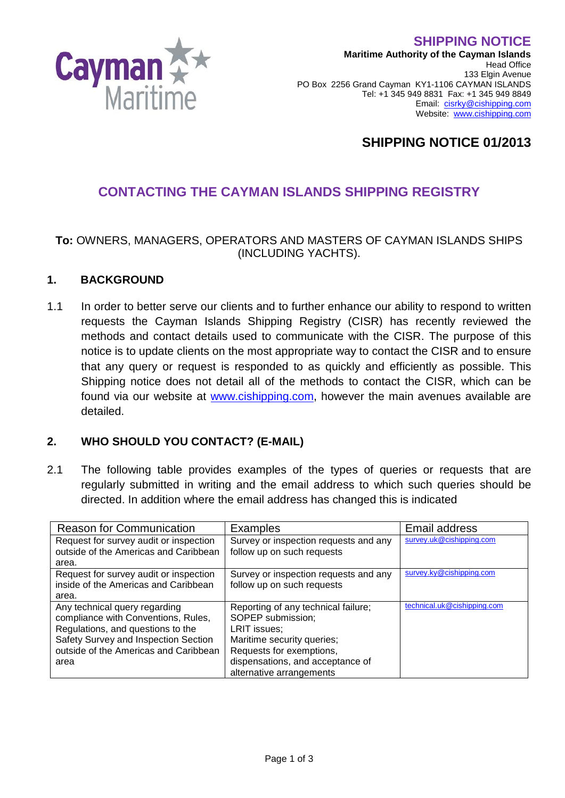**SHIPPING NOTICE**



**Maritime Authority of the Cayman Islands** Head Office 133 Elgin Avenue PO Box 2256 Grand Cayman KY1-1106 CAYMAN ISLANDS Tel: +1 345 949 8831 Fax: +1 345 949 8849 Email: [cisrky@cishipping.com](mailto:cisrky@cishipping.com) Website: [www.cishipping.com](http://www.cishipping.com/)

## **SHIPPING NOTICE 01/2013**

## **CONTACTING THE CAYMAN ISLANDS SHIPPING REGISTRY**

#### **To:** OWNERS, MANAGERS, OPERATORS AND MASTERS OF CAYMAN ISLANDS SHIPS (INCLUDING YACHTS).

#### **1. BACKGROUND**

1.1 In order to better serve our clients and to further enhance our ability to respond to written requests the Cayman Islands Shipping Registry (CISR) has recently reviewed the methods and contact details used to communicate with the CISR. The purpose of this notice is to update clients on the most appropriate way to contact the CISR and to ensure that any query or request is responded to as quickly and efficiently as possible. This Shipping notice does not detail all of the methods to contact the CISR, which can be found via our website at [www.cishipping.com,](http://www.cishipping.com/) however the main avenues available are detailed.

## **2. WHO SHOULD YOU CONTACT? (E-MAIL)**

2.1 The following table provides examples of the types of queries or requests that are regularly submitted in writing and the email address to which such queries should be directed. In addition where the email address has changed this is indicated

| <b>Reason for Communication</b>        | <b>Examples</b>                       | Email address               |
|----------------------------------------|---------------------------------------|-----------------------------|
| Request for survey audit or inspection | Survey or inspection requests and any | survey.uk@cishipping.com    |
| outside of the Americas and Caribbean  | follow up on such requests            |                             |
| area.                                  |                                       |                             |
| Request for survey audit or inspection | Survey or inspection requests and any | survey.ky@cishipping.com    |
| inside of the Americas and Caribbean   | follow up on such requests            |                             |
| area.                                  |                                       |                             |
| Any technical query regarding          | Reporting of any technical failure;   | technical.uk@cishipping.com |
| compliance with Conventions, Rules,    | SOPEP submission;                     |                             |
| Regulations, and questions to the      | LRIT issues:                          |                             |
| Safety Survey and Inspection Section   | Maritime security queries;            |                             |
| outside of the Americas and Caribbean  | Requests for exemptions,              |                             |
| area                                   | dispensations, and acceptance of      |                             |
|                                        | alternative arrangements              |                             |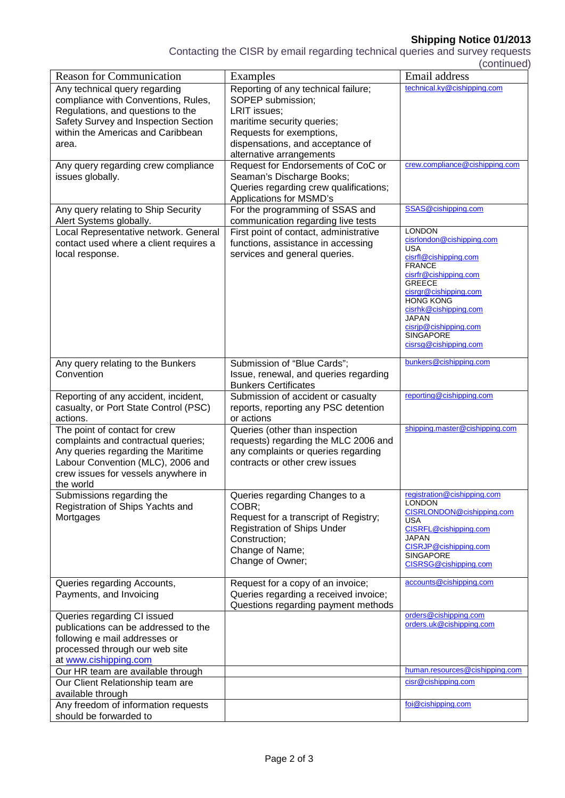## **Shipping Notice 01/2013**

Contacting the CISR by email regarding technical queries and survey requests (continued)

|                                        |                                        | <u>oommuudu</u>                        |
|----------------------------------------|----------------------------------------|----------------------------------------|
| <b>Reason for Communication</b>        | Examples                               | Email address                          |
| Any technical query regarding          | Reporting of any technical failure;    | technical.ky@cishipping.com            |
| compliance with Conventions, Rules,    | SOPEP submission;                      |                                        |
| Regulations, and questions to the      | LRIT issues;                           |                                        |
| Safety Survey and Inspection Section   | maritime security queries;             |                                        |
| within the Americas and Caribbean      | Requests for exemptions,               |                                        |
| area.                                  | dispensations, and acceptance of       |                                        |
|                                        | alternative arrangements               |                                        |
| Any query regarding crew compliance    | Request for Endorsements of CoC or     | crew.compliance@cishipping.com         |
| issues globally.                       | Seaman's Discharge Books;              |                                        |
|                                        | Queries regarding crew qualifications; |                                        |
|                                        | Applications for MSMD's                |                                        |
| Any query relating to Ship Security    | For the programming of SSAS and        | SSAS@cishipping.com                    |
| Alert Systems globally.                | communication regarding live tests     |                                        |
| Local Representative network. General  | First point of contact, administrative | <b>LONDON</b>                          |
|                                        | functions, assistance in accessing     | cisrlondon@cishipping.com              |
| contact used where a client requires a |                                        | <b>USA</b>                             |
| local response.                        | services and general queries.          | cisrfl@cishipping.com                  |
|                                        |                                        | <b>FRANCE</b>                          |
|                                        |                                        | cisrfr@cishipping.com<br><b>GREECE</b> |
|                                        |                                        | cisrgr@cishipping.com                  |
|                                        |                                        | <b>HONG KONG</b>                       |
|                                        |                                        | cisrhk@cishipping.com                  |
|                                        |                                        | <b>JAPAN</b><br>cisrip@cishipping.com  |
|                                        |                                        | SINGAPORE                              |
|                                        |                                        | cisrsg@cishipping.com                  |
|                                        |                                        |                                        |
| Any query relating to the Bunkers      | Submission of "Blue Cards";            | bunkers@cishipping.com                 |
| Convention                             | Issue, renewal, and queries regarding  |                                        |
|                                        | <b>Bunkers Certificates</b>            |                                        |
| Reporting of any accident, incident,   | Submission of accident or casualty     | reporting@cishipping.com               |
| casualty, or Port State Control (PSC)  | reports, reporting any PSC detention   |                                        |
| actions.                               | or actions                             |                                        |
| The point of contact for crew          | Queries (other than inspection         | shipping.master@cishipping.com         |
| complaints and contractual queries;    | requests) regarding the MLC 2006 and   |                                        |
| Any queries regarding the Maritime     | any complaints or queries regarding    |                                        |
| Labour Convention (MLC), 2006 and      | contracts or other crew issues         |                                        |
| crew issues for vessels anywhere in    |                                        |                                        |
| the world                              |                                        |                                        |
| Submissions regarding the              | Queries regarding Changes to a         | registration@cishipping.com            |
| Registration of Ships Yachts and       | COBR:                                  | <b>LONDON</b>                          |
| Mortgages                              | Request for a transcript of Registry;  | CISRLONDON@cishipping.com              |
|                                        | Registration of Ships Under            | <b>USA</b>                             |
|                                        | Construction;                          | CISRFL@cishipping.com<br><b>JAPAN</b>  |
|                                        |                                        | CISRJP@cishipping.com                  |
|                                        | Change of Name;                        | <b>SINGAPORE</b>                       |
|                                        | Change of Owner;                       | CISRSG@cishipping.com                  |
|                                        |                                        |                                        |
| Queries regarding Accounts,            | Request for a copy of an invoice;      | accounts@cishipping.com                |
| Payments, and Invoicing                | Queries regarding a received invoice;  |                                        |
|                                        | Questions regarding payment methods    |                                        |
| Queries regarding CI issued            |                                        | orders@cishipping.com                  |
| publications can be addressed to the   |                                        | orders.uk@cishipping.com               |
| following e mail addresses or          |                                        |                                        |
| processed through our web site         |                                        |                                        |
| at www.cishipping.com                  |                                        |                                        |
| Our HR team are available through      |                                        | human.resources@cishipping.com         |
| Our Client Relationship team are       |                                        | cisr@cishipping.com                    |
| available through                      |                                        |                                        |
| Any freedom of information requests    |                                        | foi@cishipping.com                     |
| should be forwarded to                 |                                        |                                        |